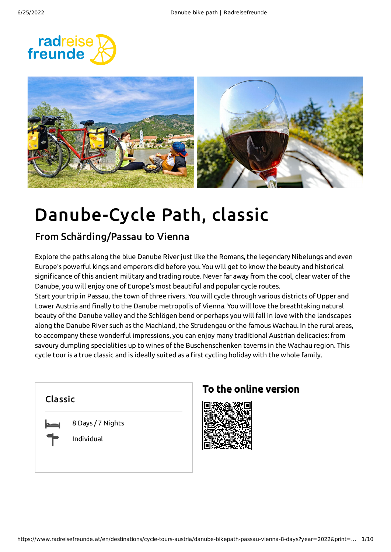



# Danube-Cycle Path, classic

### From Schärding/Passau to Vienna

Explore the paths along the blue Danube Riverjust like the Romans, the legendary Nibelungs and even Europe's powerful kings and emperors did before you. You will get to know the beauty and historical significance of this ancient military and trading route. Neverfar away from the cool, clear water of the Danube, you will enjoy one of Europe's most beautiful and popular cycle routes.

Start your trip in Passau, the town of three rivers. You will cycle through various districts of Upper and Lower Austria and finally to the Danube metropolis of Vienna. You will love the breathtaking natural beauty of the Danube valley and the Schlögen bend or perhaps you will fall in love with the landscapes along the Danube River such as the Machland, the Strudengau or the famous Wachau. In the rural areas, to accompany these wonderful impressions, you can enjoy many traditional Austrian delicacies: from savoury dumpling specialities up to wines of the Buschenschenken taverns in the Wachau region. This cycle tour is a true classic and is ideally suited as a first cycling holiday with the whole family.



## To the online version

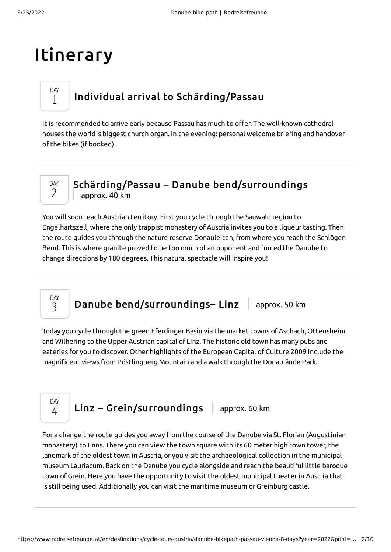## Itinerary

## Individual arrival to [Schärding/Passau](#page-1-0)

<span id="page-1-0"></span>It is recommended to arrive early because Passau has much to offer. The well-known cathedral houses the world´s biggest church organ. In the evening: personal welcome briefing and handover of the bikes (if booked).



DAY 1

### Schärding/Passau – Danube [bend/surroundings](#page-1-1) approx. 40 km

<span id="page-1-1"></span>You will soon reach Austrian territory. First you cycle through the Sauwald region to Engelhartszell, where the only trappist monastery of Austria invites you to a liqueur tasting. Then the route guides you through the nature reserve Donauleiten, from where you reach the Schlögen Bend. This is where granite proved to be too much of an opponent and forced the Danube to change directions by 180 degrees. This natural spectacle will inspire you!

Danube bend/surroundings- Linz approx. 50 km

<span id="page-1-2"></span>Today you cycle through the green Eferdinger Basin via the market towns of Aschach, Ottensheim and Wilhering to the Upper Austrian capital of Linz. The historic old town has many pubs and eateries for you to discover. Other highlights of the European Capital of Culture 2009 include the magnificent views from Pöstlingberg Mountain and a walk through the Donaulände Park.



DAY 3

 $Linz - Grein/surroundings$  $Linz - Grein/surroundings$  approx. 60 km

<span id="page-1-3"></span>For a change the route guides you away from the course of the Danube via St. Florian (Augustinian monastery) to Enns. There you can view the town square with its 60 meter high town tower, the landmark of the oldest town in Austria, or you visit the archaeological collection in the municipal museum Lauriacum. Back on the Danube you cycle alongside and reach the beautiful little baroque town of Grein. Here you have the opportunity to visit the oldest municipal theaterin Austria that is still being used. Additionally you can visit the maritime museum or Greinburg castle.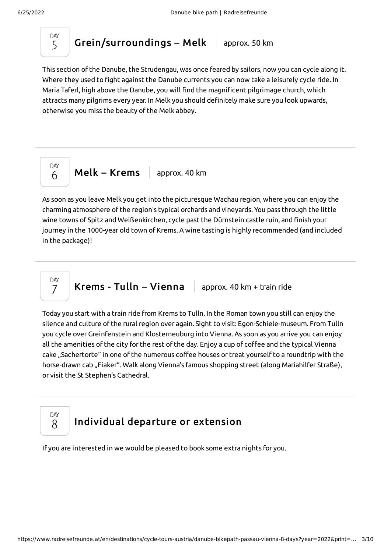

[Grein/surroundings](#page-2-0) – Melk  $\vert$  approx. 50 km

<span id="page-2-0"></span>This section of the Danube, the Strudengau, was once feared by sailors, now you can cycle along it. Where they used to fight against the Danube currents you can now take a leisurely cycle ride. In Maria Taferl, high above the Danube, you will find the magnificent pilgrimage church, which attracts many pilgrims every year. In Melk you should definitely make sure you look upwards, otherwise you miss the beauty of the Melk abbey.



 $Melk - Krems$  $Melk - Krems$  approx. 40 km

<span id="page-2-1"></span>As soon as you leave Melk you get into the picturesque Wachau region, where you can enjoy the charming atmosphere of the region's typical orchards and vineyards. You pass through the little wine towns of Spitz and Weißenkirchen, cycle past the Dürnstein castle ruin, and finish your journey in the 1000-year old town of Krems. A wine tasting is highly recommended (and included in the package)!



**Krems - Tulln – [Vienna](#page-2-2)**  $\parallel$  approx. 40 km + train ride

<span id="page-2-2"></span>Today you start with a train ride from Krems to Tulln. In the Roman town you still can enjoy the silence and culture of the rural region over again. Sight to visit: Egon-Schiele-museum. From Tulln you cycle over Greinfenstein and Klosterneuburg into Vienna. As soon as you arrive you can enjoy all the amenities of the city for the rest of the day. Enjoy a cup of coffee and the typical Vienna cake "Sachertorte" in one of the numerous coffee houses or treat yourself to a roundtrip with the horse-drawn cab "Fiaker". Walk along Vienna's famous shopping street (along Mariahilfer Straße), or visit the St Stephen's Cathedral.



## [Individual](#page-2-3) departure or extension

<span id="page-2-3"></span>If you are interested in we would be pleased to book some extra nights for you.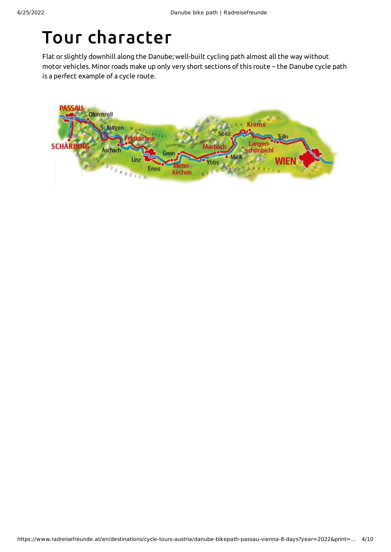## Tour character

Flat or slightly downhill along the Danube; well-built cycling path almost all the way without motor vehicles. Minor roads make up only very short sections of this route – the Danube cycle path is a perfect example of a cycle route.

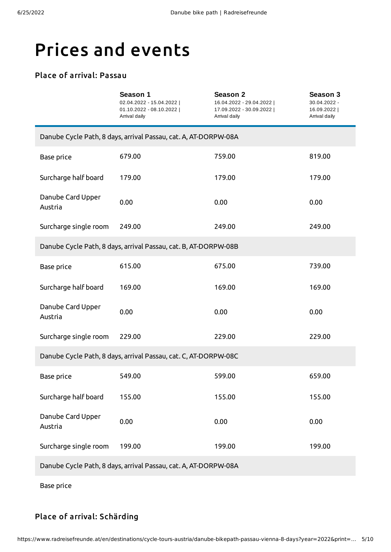## Prices and events

### Place of arrival: Passau

|                                                                 | Season 1<br>02.04.2022 - 15.04.2022  <br>01.10.2022 - 08.10.2022  <br>Arrival daily | <b>Season 2</b><br>16.04.2022 - 29.04.2022  <br>17.09.2022 - 30.09.2022  <br>Arrival daily | Season 3<br>30.04.2022 -<br>16.09.2022  <br>Arrival daily |  |
|-----------------------------------------------------------------|-------------------------------------------------------------------------------------|--------------------------------------------------------------------------------------------|-----------------------------------------------------------|--|
| Danube Cycle Path, 8 days, arrival Passau, cat. A, AT-DORPW-08A |                                                                                     |                                                                                            |                                                           |  |
| Base price                                                      | 679.00                                                                              | 759.00                                                                                     | 819.00                                                    |  |
| Surcharge half board                                            | 179.00                                                                              | 179.00                                                                                     | 179.00                                                    |  |
| Danube Card Upper<br>Austria                                    | 0.00                                                                                | 0.00                                                                                       | 0.00                                                      |  |
| Surcharge single room                                           | 249.00                                                                              | 249.00                                                                                     | 249.00                                                    |  |
| Danube Cycle Path, 8 days, arrival Passau, cat. B, AT-DORPW-08B |                                                                                     |                                                                                            |                                                           |  |
| Base price                                                      | 615.00                                                                              | 675.00                                                                                     | 739.00                                                    |  |
| Surcharge half board                                            | 169.00                                                                              | 169.00                                                                                     | 169.00                                                    |  |
| Danube Card Upper<br>Austria                                    | 0.00                                                                                | 0.00                                                                                       | 0.00                                                      |  |
| Surcharge single room                                           | 229.00                                                                              | 229.00                                                                                     | 229.00                                                    |  |
| Danube Cycle Path, 8 days, arrival Passau, cat. C, AT-DORPW-08C |                                                                                     |                                                                                            |                                                           |  |
| Base price                                                      | 549.00                                                                              | 599.00                                                                                     | 659.00                                                    |  |
| Surcharge half board                                            | 155.00                                                                              | 155.00                                                                                     | 155.00                                                    |  |
| Danube Card Upper<br>Austria                                    | 0.00                                                                                | 0.00                                                                                       | 0.00                                                      |  |
| Surcharge single room                                           | 199.00                                                                              | 199.00                                                                                     | 199.00                                                    |  |
| Danube Cycle Path, 8 days, arrival Passau, cat. A, AT-DORPW-08A |                                                                                     |                                                                                            |                                                           |  |

Base price

### Place of arrival: Schärding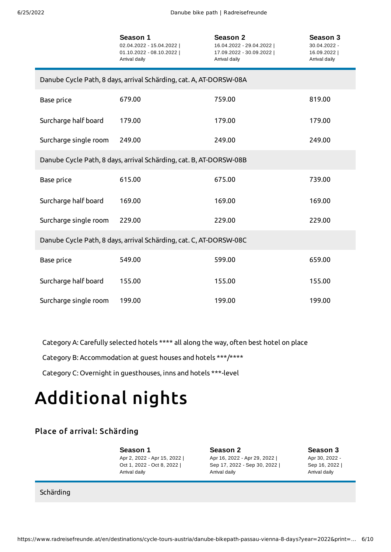|                                                                    | Season 1<br>02.04.2022 - 15.04.2022  <br>$01.10.2022 - 08.10.2022$<br>Arrival daily | <b>Season 2</b><br>16.04.2022 - 29.04.2022  <br>17.09.2022 - 30.09.2022  <br>Arrival daily | Season 3<br>30.04.2022 -<br>16.09.2022  <br>Arrival daily |  |
|--------------------------------------------------------------------|-------------------------------------------------------------------------------------|--------------------------------------------------------------------------------------------|-----------------------------------------------------------|--|
| Danube Cycle Path, 8 days, arrival Schärding, cat. A, AT-DORSW-08A |                                                                                     |                                                                                            |                                                           |  |
| Base price                                                         | 679.00                                                                              | 759.00                                                                                     | 819.00                                                    |  |
| Surcharge half board                                               | 179.00                                                                              | 179.00                                                                                     | 179.00                                                    |  |
| Surcharge single room                                              | 249.00                                                                              | 249.00                                                                                     | 249.00                                                    |  |
| Danube Cycle Path, 8 days, arrival Schärding, cat. B, AT-DORSW-08B |                                                                                     |                                                                                            |                                                           |  |
| Base price                                                         | 615.00                                                                              | 675.00                                                                                     | 739.00                                                    |  |
| Surcharge half board                                               | 169.00                                                                              | 169.00                                                                                     | 169.00                                                    |  |
| Surcharge single room                                              | 229.00                                                                              | 229.00                                                                                     | 229.00                                                    |  |
| Danube Cycle Path, 8 days, arrival Schärding, cat. C, AT-DORSW-08C |                                                                                     |                                                                                            |                                                           |  |
| Base price                                                         | 549.00                                                                              | 599.00                                                                                     | 659.00                                                    |  |
| Surcharge half board                                               | 155.00                                                                              | 155.00                                                                                     | 155.00                                                    |  |
| Surcharge single room                                              | 199.00                                                                              | 199.00                                                                                     | 199.00                                                    |  |

Category A: Carefully selected hotels \*\*\*\* all along the way, often best hotel on place

Category B: Accommodation at guest houses and hotels \*\*\*/\*\*\*\*

Category C: Overnight in guesthouses, inns and hotels \*\*\*-level

# Additional nights

### Place of arrival: Schärding

**Season 1** Apr 2, 2022 - Apr 15, 2022 | Oct 1, 2022 - Oct 8, 2022 | Arrival daily

**Season 2** Apr 16, 2022 - Apr 29, 2022 | Sep 17, 2022 - Sep 30, 2022 | Arrival daily

**Season 3** Apr 30, 2022 - Sep 16, 2022 | Arrival daily

Schärding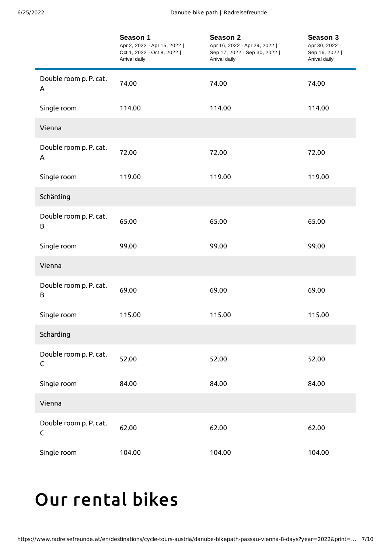|                                       | Season 1<br>Apr 2, 2022 - Apr 15, 2022  <br>Oct 1, 2022 - Oct 8, 2022  <br>Arrival daily | Season 2<br>Apr 16, 2022 - Apr 29, 2022  <br>Sep 17, 2022 - Sep 30, 2022  <br>Arrival daily | Season 3<br>Apr 30, 2022 -<br>Sep 16, 2022  <br>Arrival daily |
|---------------------------------------|------------------------------------------------------------------------------------------|---------------------------------------------------------------------------------------------|---------------------------------------------------------------|
| Double room p. P. cat.<br>A           | 74.00                                                                                    | 74.00                                                                                       | 74.00                                                         |
| Single room                           | 114.00                                                                                   | 114.00                                                                                      | 114.00                                                        |
| Vienna                                |                                                                                          |                                                                                             |                                                               |
| Double room p. P. cat.<br>A           | 72.00                                                                                    | 72.00                                                                                       | 72.00                                                         |
| Single room                           | 119.00                                                                                   | 119.00                                                                                      | 119.00                                                        |
| Schärding                             |                                                                                          |                                                                                             |                                                               |
| Double room p. P. cat.<br>B           | 65.00                                                                                    | 65.00                                                                                       | 65.00                                                         |
| Single room                           | 99.00                                                                                    | 99.00                                                                                       | 99.00                                                         |
| Vienna                                |                                                                                          |                                                                                             |                                                               |
| Double room p. P. cat.<br>B           | 69.00                                                                                    | 69.00                                                                                       | 69.00                                                         |
| Single room                           | 115.00                                                                                   | 115.00                                                                                      | 115.00                                                        |
| Schärding                             |                                                                                          |                                                                                             |                                                               |
| Double room p. P. cat.<br>$\mathsf C$ | 52.00                                                                                    | 52.00                                                                                       | 52.00                                                         |
| Single room                           | 84.00                                                                                    | 84.00                                                                                       | 84.00                                                         |
| Vienna                                |                                                                                          |                                                                                             |                                                               |
| Double room p. P. cat.<br>$\mathsf C$ | 62.00                                                                                    | 62.00                                                                                       | 62.00                                                         |
| Single room                           | 104.00                                                                                   | 104.00                                                                                      | 104.00                                                        |

## <span id="page-6-0"></span>Our [rental](#page-6-0) bikes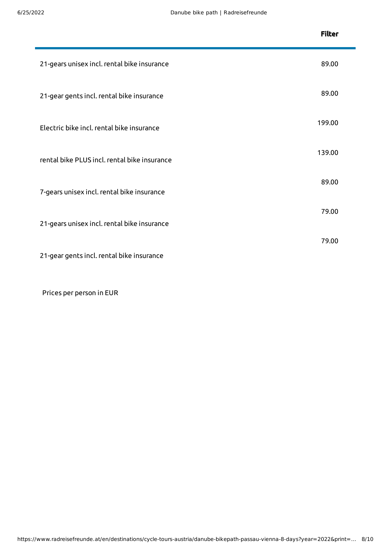|                                              | <b>Filter</b> |
|----------------------------------------------|---------------|
| 21-gears unisex incl. rental bike insurance  | 89.00         |
| 21-gear gents incl. rental bike insurance    | 89.00         |
| Electric bike incl. rental bike insurance    | 199.00        |
| rental bike PLUS incl. rental bike insurance | 139.00        |
| 7-gears unisex incl. rental bike insurance   | 89.00         |
| 21-gears unisex incl. rental bike insurance  | 79.00         |
| 21-gear gents incl. rental bike insurance    | 79.00         |
|                                              |               |

Prices per person in EUR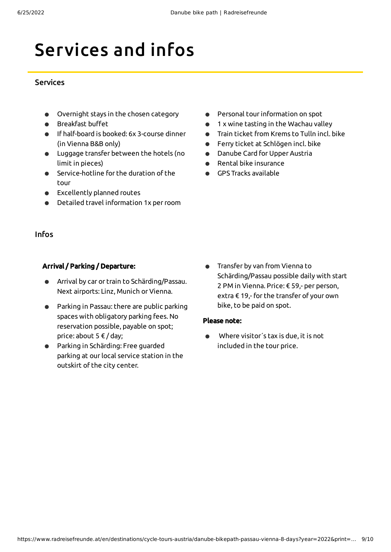# Services and infos

#### **Services**

- Overnight stays in the chosen category
- Breakfast buffet
- If half-board is booked: 6x 3-course dinner (in Vienna B&B only)
- Luggage transfer between the hotels (no limit in pieces)
- Service-hotline for the duration of the tour
- Excellently planned routes
- Detailed travel information 1x perroom
- Personal tourinformation on spot  $\bullet$
- 1 x wine tasting in the Wachau valley  $\bullet$
- Train ticket from Krems to Tulln incl. bike  $\bullet$
- Ferry ticket at Schlögen incl. bike  $\bullet$
- $\bullet$ Danube Card for Upper Austria
- Rental bike insurance  $\bullet$
- GPS Tracks available  $\bullet$

#### Infos

#### Arrival / Parking / Departure:

- Arrival by car or train to Schärding/Passau. Next airports: Linz, Munich or Vienna.
- Parking in Passau: there are public parking spaces with obligatory parking fees. No reservation possible, payable on spot; price: about 5 € / day;
- Parking in Schärding: Free guarded  $\bullet$ parking at our local service station in the outskirt of the city center.
- Transfer by van from Vienna to Schärding/Passau possible daily with start 2 PM in Vienna. Price: € 59,- per person, extra € 19,- for the transfer of your own bike, to be paid on spot.

#### Please note:

Where visitor´s tax is due, it is not  $\bullet$ included in the tour price.